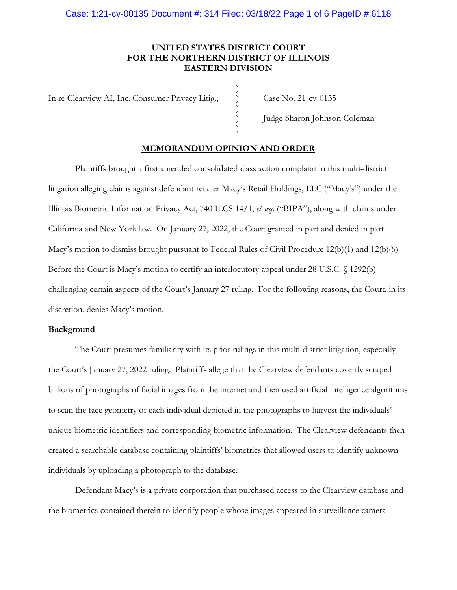# **UNITED STATES DISTRICT COURT FOR THE NORTHERN DISTRICT OF ILLINOIS EASTERN DIVISION**

)

)

)

In re Clearview AI, Inc. Consumer Privacy Litig., Case No. 21-cv-0135

) Judge Sharon Johnson Coleman

### **MEMORANDUM OPINION AND ORDER**

Plaintiffs brought a first amended consolidated class action complaint in this multi-district litigation alleging claims against defendant retailer Macy's Retail Holdings, LLC ("Macy's") under the Illinois Biometric Information Privacy Act, 740 ILCS 14/1, *et seq.* ("BIPA"), along with claims under California and New York law. On January 27, 2022, the Court granted in part and denied in part Macy's motion to dismiss brought pursuant to Federal Rules of Civil Procedure 12(b)(1) and 12(b)(6). Before the Court is Macy's motion to certify an interlocutory appeal under 28 U.S.C. § 1292(b) challenging certain aspects of the Court's January 27 ruling. For the following reasons, the Court, in its discretion, denies Macy's motion.

#### **Background**

The Court presumes familiarity with its prior rulings in this multi-district litigation, especially the Court's January 27, 2022 ruling. Plaintiffs allege that the Clearview defendants covertly scraped billions of photographs of facial images from the internet and then used artificial intelligence algorithms to scan the face geometry of each individual depicted in the photographs to harvest the individuals' unique biometric identifiers and corresponding biometric information. The Clearview defendants then created a searchable database containing plaintiffs' biometrics that allowed users to identify unknown individuals by uploading a photograph to the database.

Defendant Macy's is a private corporation that purchased access to the Clearview database and the biometrics contained therein to identify people whose images appeared in surveillance camera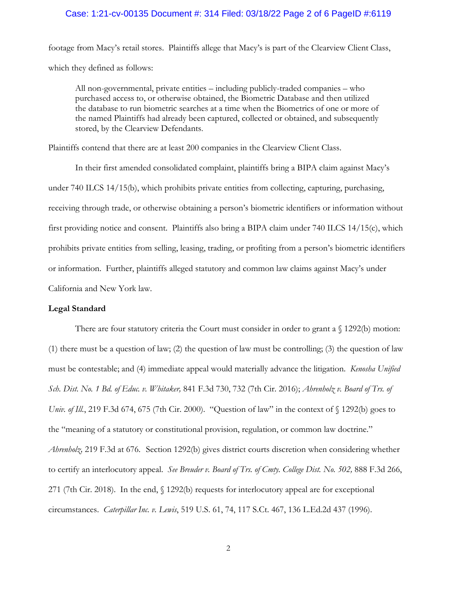# Case: 1:21-cv-00135 Document #: 314 Filed: 03/18/22 Page 2 of 6 PageID #:6119

footage from Macy's retail stores. Plaintiffs allege that Macy's is part of the Clearview Client Class, which they defined as follows:

All non-governmental, private entities – including publicly-traded companies – who purchased access to, or otherwise obtained, the Biometric Database and then utilized the database to run biometric searches at a time when the Biometrics of one or more of the named Plaintiffs had already been captured, collected or obtained, and subsequently stored, by the Clearview Defendants.

Plaintiffs contend that there are at least 200 companies in the Clearview Client Class.

In their first amended consolidated complaint, plaintiffs bring a BIPA claim against Macy's under 740 ILCS 14/15(b), which prohibits private entities from collecting, capturing, purchasing, receiving through trade, or otherwise obtaining a person's biometric identifiers or information without first providing notice and consent. Plaintiffs also bring a BIPA claim under 740 ILCS 14/15(c), which prohibits private entities from selling, leasing, trading, or profiting from a person's biometric identifiers or information. Further, plaintiffs alleged statutory and common law claims against Macy's under California and New York law.

#### **Legal Standard**

There are four statutory criteria the Court must consider in order to grant a  $\frac{1292(b)}{b}$  motion: (1) there must be a question of law; (2) the question of law must be controlling; (3) the question of law must be contestable; and (4) immediate appeal would materially advance the litigation. *Kenosha Unified Sch. Dist. No. 1 Bd. of Educ. v. Whitaker,* 841 F.3d 730, 732 (7th Cir. 2016); *Ahrenholz v. Board of Trs. of Univ. of Ill.*, 219 F.3d 674, 675 (7th Cir. 2000). "Question of law" in the context of § 1292(b) goes to the "meaning of a statutory or constitutional provision, regulation, or common law doctrine." *Ahrenholz,* 219 F.3d at 676. Section 1292(b) gives district courts discretion when considering whether to certify an interlocutory appeal. *See Breuder v. Board of Trs. of Cmty. College Dist. No. 502,* 888 F.3d 266, 271 (7th Cir. 2018). In the end, § 1292(b) requests for interlocutory appeal are for exceptional circumstances. *Caterpillar Inc. v. Lewis*, 519 U.S. 61, 74, 117 S.Ct. 467, 136 L.Ed.2d 437 (1996).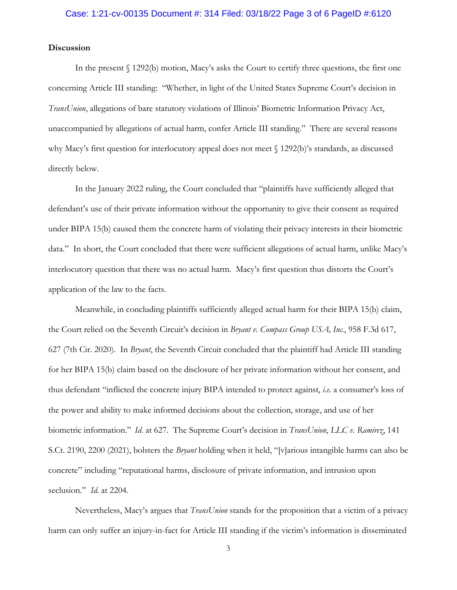### Case: 1:21-cv-00135 Document #: 314 Filed: 03/18/22 Page 3 of 6 PageID #:6120

### **Discussion**

In the present § 1292(b) motion, Macy's asks the Court to certify three questions, the first one concerning Article III standing: "Whether, in light of the United States Supreme Court's decision in *TransUnion*, allegations of bare statutory violations of Illinois' Biometric Information Privacy Act, unaccompanied by allegations of actual harm, confer Article III standing." There are several reasons why Macy's first question for interlocutory appeal does not meet  $\S$  1292(b)'s standards, as discussed directly below.

In the January 2022 ruling, the Court concluded that "plaintiffs have sufficiently alleged that defendant's use of their private information without the opportunity to give their consent as required under BIPA 15(b) caused them the concrete harm of violating their privacy interests in their biometric data." In short, the Court concluded that there were sufficient allegations of actual harm, unlike Macy's interlocutory question that there was no actual harm. Macy's first question thus distorts the Court's application of the law to the facts.

Meanwhile, in concluding plaintiffs sufficiently alleged actual harm for their BIPA 15(b) claim, the Court relied on the Seventh Circuit's decision in *Bryant v. Compass Group USA, Inc.*, 958 F.3d 617, 627 (7th Cir. 2020). In *Bryant*, the Seventh Circuit concluded that the plaintiff had Article III standing for her BIPA 15(b) claim based on the disclosure of her private information without her consent, and thus defendant "inflicted the concrete injury BIPA intended to protect against, *i.e.* a consumer's loss of the power and ability to make informed decisions about the collection, storage, and use of her biometric information." *Id*. at 627. The Supreme Court's decision in *TransUnion*, *LLC v. Ramirez*, 141 S.Ct. 2190, 2200 (2021), bolsters the *Bryant* holding when it held, "[v]arious intangible harms can also be concrete" including "reputational harms, disclosure of private information, and intrusion upon seclusion." *Id.* at 2204.

Nevertheless, Macy's argues that *TransUnion* stands for the proposition that a victim of a privacy harm can only suffer an injury-in-fact for Article III standing if the victim's information is disseminated

3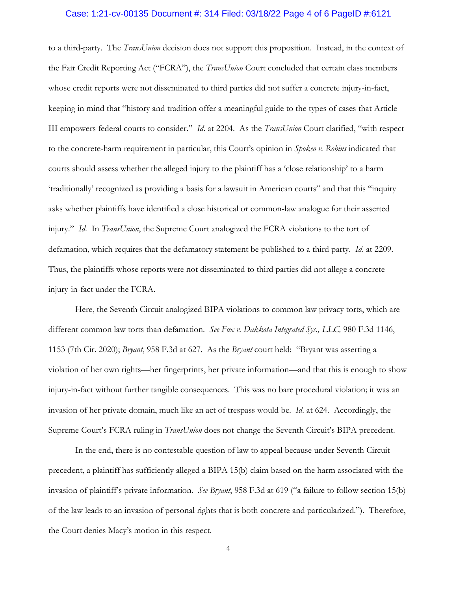### Case: 1:21-cv-00135 Document #: 314 Filed: 03/18/22 Page 4 of 6 PageID #:6121

to a third-party. The *TransUnion* decision does not support this proposition. Instead, in the context of the Fair Credit Reporting Act ("FCRA"), the *TransUnion* Court concluded that certain class members whose credit reports were not disseminated to third parties did not suffer a concrete injury-in-fact, keeping in mind that "history and tradition offer a meaningful guide to the types of cases that Article III empowers federal courts to consider." *Id*. at 2204. As the *TransUnion* Court clarified, "with respect to the concrete-harm requirement in particular, this Court's opinion in *Spokeo v. Robins* indicated that courts should assess whether the alleged injury to the plaintiff has a 'close relationship' to a harm 'traditionally' recognized as providing a basis for a lawsuit in American courts" and that this "inquiry asks whether plaintiffs have identified a close historical or common-law analogue for their asserted injury." *Id*. In *TransUnion*, the Supreme Court analogized the FCRA violations to the tort of defamation, which requires that the defamatory statement be published to a third party. *Id*. at 2209. Thus, the plaintiffs whose reports were not disseminated to third parties did not allege a concrete injury-in-fact under the FCRA.

Here, the Seventh Circuit analogized BIPA violations to common law privacy torts, which are different common law torts than defamation. *See Fox v. Dakkota Integrated Sys., LLC,* 980 F.3d 1146, 1153 (7th Cir. 2020); *Bryant*, 958 F.3d at 627. As the *Bryant* court held: "Bryant was asserting a violation of her own rights—her fingerprints, her private information—and that this is enough to show injury-in-fact without further tangible consequences. This was no bare procedural violation; it was an invasion of her private domain, much like an act of trespass would be. *Id*. at 624. Accordingly, the Supreme Court's FCRA ruling in *TransUnion* does not change the Seventh Circuit's BIPA precedent.

In the end, there is no contestable question of law to appeal because under Seventh Circuit precedent, a plaintiff has sufficiently alleged a BIPA 15(b) claim based on the harm associated with the invasion of plaintiff's private information. *See Bryant*, 958 F.3d at 619 ("a failure to follow section 15(b) of the law leads to an invasion of personal rights that is both concrete and particularized."). Therefore, the Court denies Macy's motion in this respect.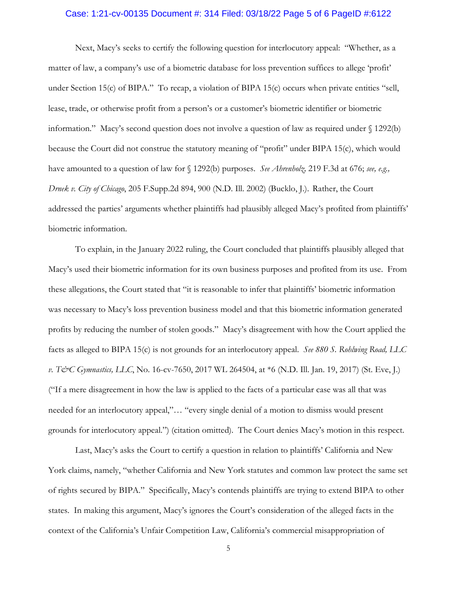### Case: 1:21-cv-00135 Document #: 314 Filed: 03/18/22 Page 5 of 6 PageID #:6122

Next, Macy's seeks to certify the following question for interlocutory appeal: "Whether, as a matter of law, a company's use of a biometric database for loss prevention suffices to allege 'profit' under Section 15(c) of BIPA." To recap, a violation of BIPA 15(c) occurs when private entities "sell, lease, trade, or otherwise profit from a person's or a customer's biometric identifier or biometric information." Macy's second question does not involve a question of law as required under § 1292(b) because the Court did not construe the statutory meaning of "profit" under BIPA 15(c), which would have amounted to a question of law for § 1292(b) purposes. *See Ahrenholz,* 219 F.3d at 676; *see, e.g., Drnek v. City of Chicago*, 205 F.Supp.2d 894, 900 (N.D. Ill. 2002) (Bucklo, J.). Rather, the Court addressed the parties' arguments whether plaintiffs had plausibly alleged Macy's profited from plaintiffs' biometric information.

To explain, in the January 2022 ruling, the Court concluded that plaintiffs plausibly alleged that Macy's used their biometric information for its own business purposes and profited from its use. From these allegations, the Court stated that "it is reasonable to infer that plaintiffs' biometric information was necessary to Macy's loss prevention business model and that this biometric information generated profits by reducing the number of stolen goods." Macy's disagreement with how the Court applied the facts as alleged to BIPA 15(c) is not grounds for an interlocutory appeal. *See 880 S. Rohlwing Road, LLC v. T&C Gymnastics, LLC*, No. 16-cv-7650, 2017 WL 264504, at \*6 (N.D. Ill. Jan. 19, 2017) (St. Eve, J.) ("If a mere disagreement in how the law is applied to the facts of a particular case was all that was needed for an interlocutory appeal,"… "every single denial of a motion to dismiss would present grounds for interlocutory appeal.") (citation omitted). The Court denies Macy's motion in this respect.

Last, Macy's asks the Court to certify a question in relation to plaintiffs' California and New York claims, namely, "whether California and New York statutes and common law protect the same set of rights secured by BIPA." Specifically, Macy's contends plaintiffs are trying to extend BIPA to other states. In making this argument, Macy's ignores the Court's consideration of the alleged facts in the context of the California's Unfair Competition Law, California's commercial misappropriation of

5